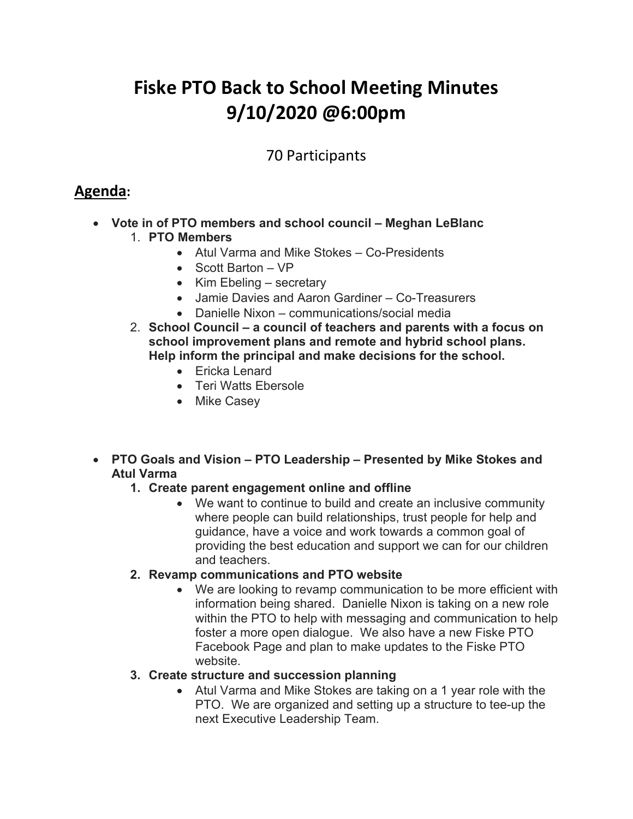# **Fiske PTO Back to School Meeting Minutes 9/10/2020 @6:00pm**

## 70 Participants

# **Agenda:**

- **Vote in of PTO members and school council – Meghan LeBlanc**  1. **PTO Members**
	- Atul Varma and Mike Stokes Co-Presidents
	- Scott Barton VP
	- Kim Ebeling secretary
	- Jamie Davies and Aaron Gardiner Co-Treasurers
	- Danielle Nixon communications/social media
	- 2. **School Council – a council of teachers and parents with a focus on school improvement plans and remote and hybrid school plans. Help inform the principal and make decisions for the school.** 
		- Ericka Lenard
		- Teri Watts Ebersole
		- Mike Casey
- **PTO Goals and Vision – PTO Leadership – Presented by Mike Stokes and Atul Varma**

#### **1. Create parent engagement online and offline**

• We want to continue to build and create an inclusive community where people can build relationships, trust people for help and guidance, have a voice and work towards a common goal of providing the best education and support we can for our children and teachers.

#### **2. Revamp communications and PTO website**

• We are looking to revamp communication to be more efficient with information being shared. Danielle Nixon is taking on a new role within the PTO to help with messaging and communication to help foster a more open dialogue. We also have a new Fiske PTO Facebook Page and plan to make updates to the Fiske PTO website.

#### **3. Create structure and succession planning**

• Atul Varma and Mike Stokes are taking on a 1 year role with the PTO. We are organized and setting up a structure to tee-up the next Executive Leadership Team.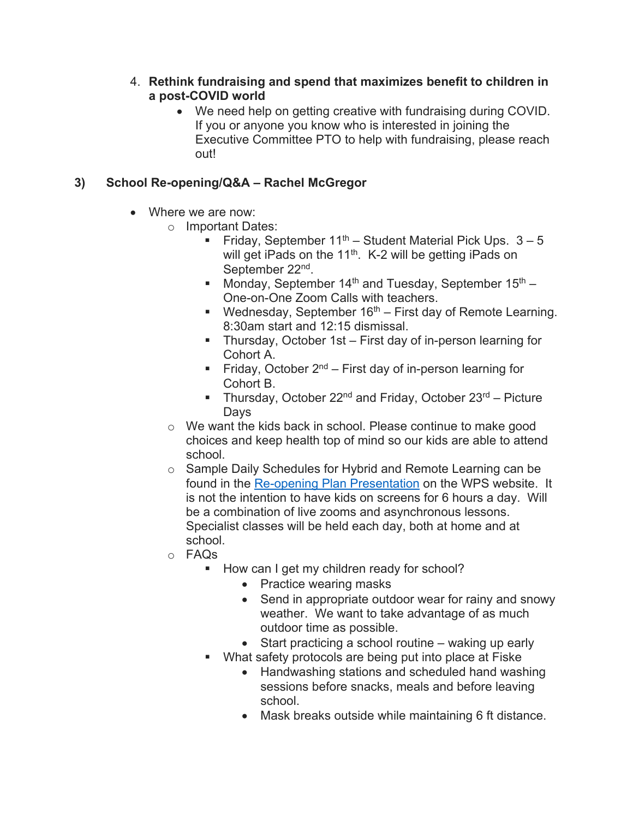#### 4. **Rethink fundraising and spend that maximizes benefit to children in a post-COVID world**

• We need help on getting creative with fundraising during COVID. If you or anyone you know who is interested in joining the Executive Committee PTO to help with fundraising, please reach out!

## **3) School Re-opening/Q&A – Rachel McGregor**

- Where we are now:
	- o Important Dates:
		- Friday, September  $11^{th}$  Student Material Pick Ups.  $3-5$ will get iPads on the 11<sup>th</sup>. K-2 will be getting iPads on September 22nd.
		- Monday, September 14<sup>th</sup> and Tuesday, September 15<sup>th</sup> One-on-One Zoom Calls with teachers.
		- **Wednesday, September 16<sup>th</sup>** First day of Remote Learning. 8:30am start and 12:15 dismissal.
		- Thursday, October 1st First day of in-person learning for Cohort A.
		- Friday, October  $2^{nd}$  First day of in-person learning for Cohort B.
		- Thursday, October 22<sup>nd</sup> and Friday, October 23<sup>rd</sup> Picture Days
	- o We want the kids back in school. Please continue to make good choices and keep health top of mind so our kids are able to attend school.
	- o Sample Daily Schedules for Hybrid and Remote Learning can be found in the [Re-opening Plan Presentation](https://wellesleyps.org/wp-content/uploads/2020/07/WPS-Reopening-Plan-2020-2021_Sept-2.pdf) on the WPS website. It is not the intention to have kids on screens for 6 hours a day. Will be a combination of live zooms and asynchronous lessons. Specialist classes will be held each day, both at home and at school.
	- o FAQs
		- How can I get my children ready for school?
			- Practice wearing masks
			- Send in appropriate outdoor wear for rainy and snowy weather. We want to take advantage of as much outdoor time as possible.
			- Start practicing a school routine waking up early
		- What safety protocols are being put into place at Fiske
			- Handwashing stations and scheduled hand washing sessions before snacks, meals and before leaving school.
			- Mask breaks outside while maintaining 6 ft distance.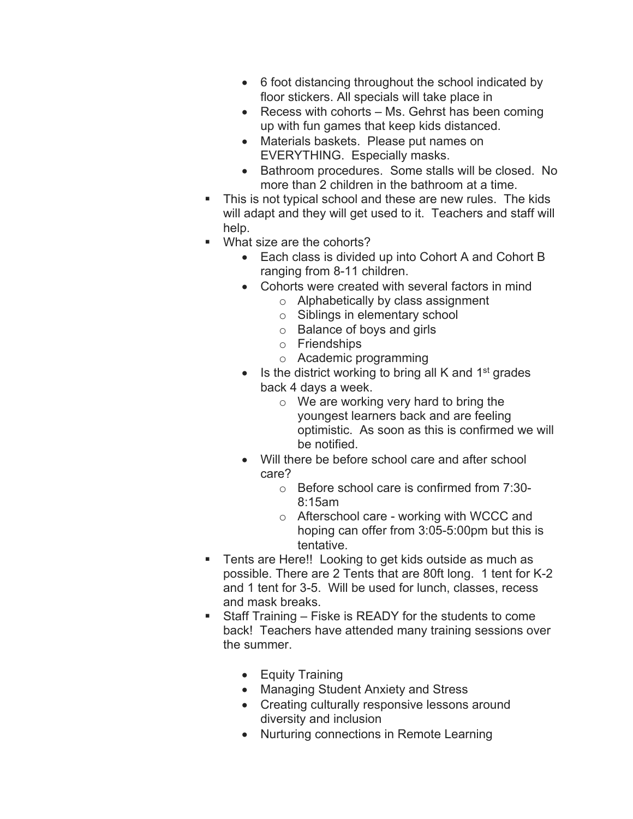- 6 foot distancing throughout the school indicated by floor stickers. All specials will take place in
- Recess with cohorts Ms. Gehrst has been coming up with fun games that keep kids distanced.
- Materials baskets. Please put names on EVERYTHING. Especially masks.
- Bathroom procedures. Some stalls will be closed. No more than 2 children in the bathroom at a time.
- This is not typical school and these are new rules. The kids will adapt and they will get used to it. Teachers and staff will help.
- What size are the cohorts?
	- Each class is divided up into Cohort A and Cohort B ranging from 8-11 children.
	- Cohorts were created with several factors in mind
		- o Alphabetically by class assignment
		- o Siblings in elementary school
		- o Balance of boys and girls
		- o Friendships
		- o Academic programming
	- Is the district working to bring all K and  $1<sup>st</sup>$  grades back 4 days a week.
		- o We are working very hard to bring the youngest learners back and are feeling optimistic. As soon as this is confirmed we will be notified.
	- Will there be before school care and after school care?
		- o Before school care is confirmed from 7:30- 8:15am
		- o Afterschool care working with WCCC and hoping can offer from 3:05-5:00pm but this is tentative.
- **Tents are Here!! Looking to get kids outside as much as** possible. There are 2 Tents that are 80ft long. 1 tent for K-2 and 1 tent for 3-5. Will be used for lunch, classes, recess and mask breaks.
- Staff Training Fiske is READY for the students to come back! Teachers have attended many training sessions over the summer.
	- Equity Training
	- Managing Student Anxiety and Stress
	- Creating culturally responsive lessons around diversity and inclusion
	- Nurturing connections in Remote Learning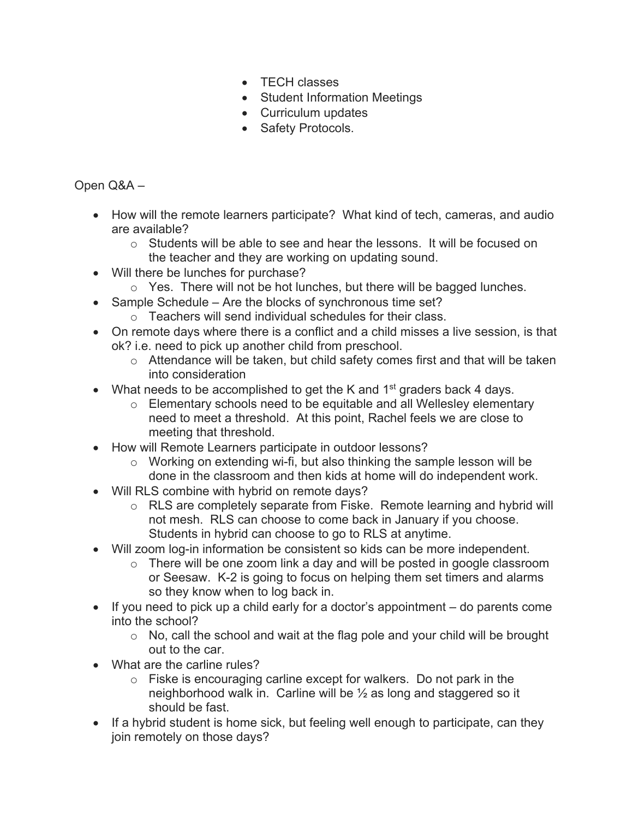- TECH classes
- Student Information Meetings
- Curriculum updates
- Safety Protocols.

Open Q&A –

- How will the remote learners participate? What kind of tech, cameras, and audio are available?
	- $\circ$  Students will be able to see and hear the lessons. It will be focused on the teacher and they are working on updating sound.
- Will there be lunches for purchase?
	- o Yes. There will not be hot lunches, but there will be bagged lunches.
- Sample Schedule Are the blocks of synchronous time set?
	- o Teachers will send individual schedules for their class.
- On remote days where there is a conflict and a child misses a live session, is that ok? i.e. need to pick up another child from preschool.
	- o Attendance will be taken, but child safety comes first and that will be taken into consideration
- What needs to be accomplished to get the K and  $1<sup>st</sup>$  graders back 4 days.
	- o Elementary schools need to be equitable and all Wellesley elementary need to meet a threshold. At this point, Rachel feels we are close to meeting that threshold.
- How will Remote Learners participate in outdoor lessons?
	- o Working on extending wi-fi, but also thinking the sample lesson will be done in the classroom and then kids at home will do independent work.
- Will RLS combine with hybrid on remote days?
	- o RLS are completely separate from Fiske. Remote learning and hybrid will not mesh. RLS can choose to come back in January if you choose. Students in hybrid can choose to go to RLS at anytime.
- Will zoom log-in information be consistent so kids can be more independent.
	- o There will be one zoom link a day and will be posted in google classroom or Seesaw. K-2 is going to focus on helping them set timers and alarms so they know when to log back in.
- If you need to pick up a child early for a doctor's appointment do parents come into the school?
	- o No, call the school and wait at the flag pole and your child will be brought out to the car.
- What are the carline rules?
	- o Fiske is encouraging carline except for walkers. Do not park in the neighborhood walk in. Carline will be ½ as long and staggered so it should be fast.
- If a hybrid student is home sick, but feeling well enough to participate, can they join remotely on those days?